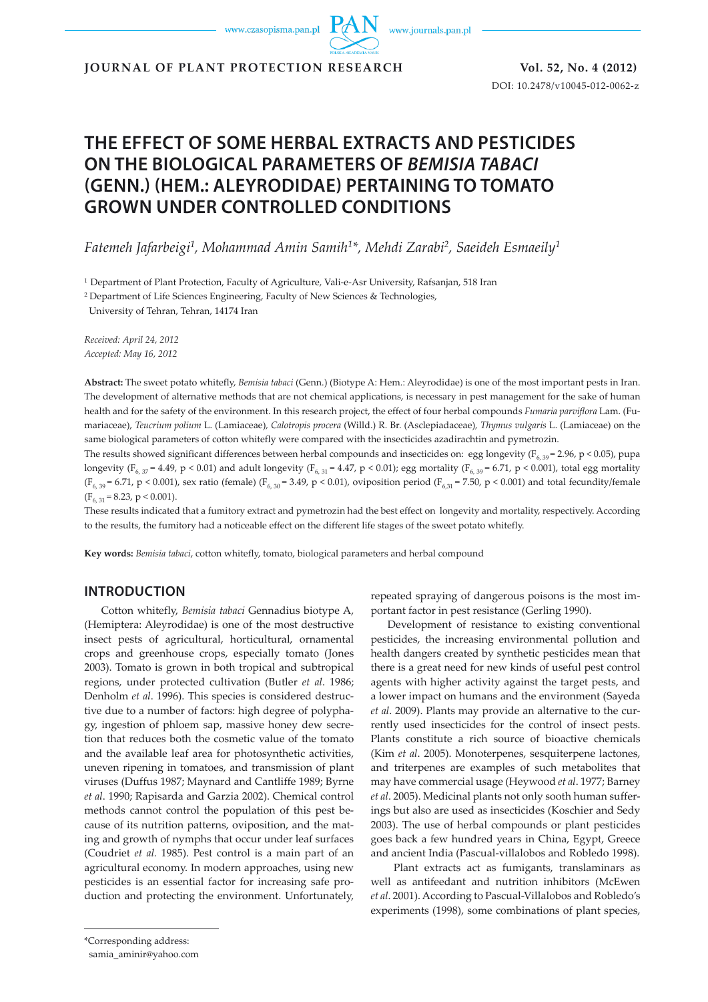www.czasopisma.pan.pl

www.journals.pan.pl

**JOURNAL OF PLANT PROTECTION RESEARCH Vol. 52, No. 4 (2012)**

DOI: 10.2478/v10045-012-0062-z

# **THE EFFECT OF SOME HERBAL EXTRACTS AND PESTICIDES ON THE BIOLOGICAL PARAMETERS OF** *BEMISIA TABACI*  **(GENN.) (HEM.: ALEYRODIDAE) PERTAINING TO TOMATO GROWN UNDER CONTROLLED CONDITIONS**

*Fatemeh Jafarbeigi1, Mohammad Amin Samih1\*, Mehdi Zarabi2, Saeideh Esmaeily1*

1 Department of Plant Protection, Faculty of Agriculture, Vali-e-Asr University, Rafsanjan, 518 Iran

<sup>2</sup> Department of Life Sciences Engineering, Faculty of New Sciences & Technologies,

University of Tehran, Tehran, 14174 Iran

*Received: April 24, 2012 Accepted: May 16, 2012*

**Abstract:** The sweet potato whitefly, *Bemisia tabaci* (Genn.) (Biotype A: Hem.: Aleyrodidae) is one of the most important pests in Iran. The development of alternative methods that are not chemical applications, is necessary in pest management for the sake of human health and for the safety of the environment. In this research project, the effect of four herbal compounds *Fumaria parviflora* Lam. (Fumariaceae), *Teucrium polium* L. (Lamiaceae)*, Calotropis procera* (Willd.) R. Br. (Asclepiadaceae)*, Thymus vulgaris* L. (Lamiaceae) on the same biological parameters of cotton whitefly were compared with the insecticides azadirachtin and pymetrozin.

The results showed significant differences between herbal compounds and insecticides on: egg longevity ( $F_{6, 29}$  = 2.96, p < 0.05), pupa longevity ( $F_{6, 37}$  = 4.49, p < 0.01) and adult longevity ( $F_{6, 31}$  = 4.47, p < 0.01); egg mortality ( $F_{6, 39}$  = 6.71, p < 0.001), total egg mortality  $(F_{6,39} = 6.71, p \le 0.001)$ , sex ratio (female)  $(F_{6,30} = 3.49, p \le 0.01)$ , oviposition period  $(F_{6,31} = 7.50, p \le 0.001)$  and total fecundity/female  $(F_{6, 31} = 8.23, p < 0.001).$ 

These results indicated that a fumitory extract and pymetrozin had the best effect on longevity and mortality, respectively. According to the results, the fumitory had a noticeable effect on the different life stages of the sweet potato whitefly.

**Key words:** *Bemisia tabaci*, cotton whitefly, tomato, biological parameters and herbal compound

## **INTRODUCTION**

Cotton whitefly, *Bemisia tabaci* Gennadius biotype A, (Hemiptera: Aleyrodidae) is one of the most destructive insect pests of agricultural, horticultural, ornamental crops and greenhouse crops, especially tomato (Jones 2003). Tomato is grown in both tropical and subtropical regions, under protected cultivation (Butler *et al*. 1986; Denholm *et al*. 1996). This species is considered destructive due to a number of factors: high degree of polyphagy, ingestion of phloem sap, massive honey dew secretion that reduces both the cosmetic value of the tomato and the available leaf area for photosynthetic activities, uneven ripening in tomatoes, and transmission of plant viruses (Duffus 1987; Maynard and Cantliffe 1989; Byrne *et al*. 1990; Rapisarda and Garzia 2002). Chemical control methods cannot control the population of this pest because of its nutrition patterns, oviposition, and the mating and growth of nymphs that occur under leaf surfaces (Coudriet *et al.* 1985). Pest control is a main part of an agricultural economy. In modern approaches, using new pesticides is an essential factor for increasing safe production and protecting the environment. Unfortunately, repeated spraying of dangerous poisons is the most important factor in pest resistance (Gerling 1990).

Development of resistance to existing conventional pesticides, the increasing environmental pollution and health dangers created by synthetic pesticides mean that there is a great need for new kinds of useful pest control agents with higher activity against the target pests, and a lower impact on humans and the environment (Sayeda *et al*. 2009). Plants may provide an alternative to the currently used insecticides for the control of insect pests. Plants constitute a rich source of bioactive chemicals (Kim *et al*. 2005). Monoterpenes, sesquiterpene lactones, and triterpenes are examples of such metabolites that may have commercial usage (Heywood *et al*. 1977; Barney *et al*. 2005). Medicinal plants not only sooth human sufferings but also are used as insecticides (Koschier and Sedy 2003). The use of herbal compounds or plant pesticides goes back a few hundred years in China, Egypt, Greece and ancient India (Pascual-villalobos and Robledo 1998).

 Plant extracts act as fumigants, translaminars as well as antifeedant and nutrition inhibitors (McEwen *et al*. 2001). According to Pascual-Villalobos and Robledo's experiments (1998), some combinations of plant species,

<sup>\*</sup>Corresponding address:

samia\_aminir@yahoo.com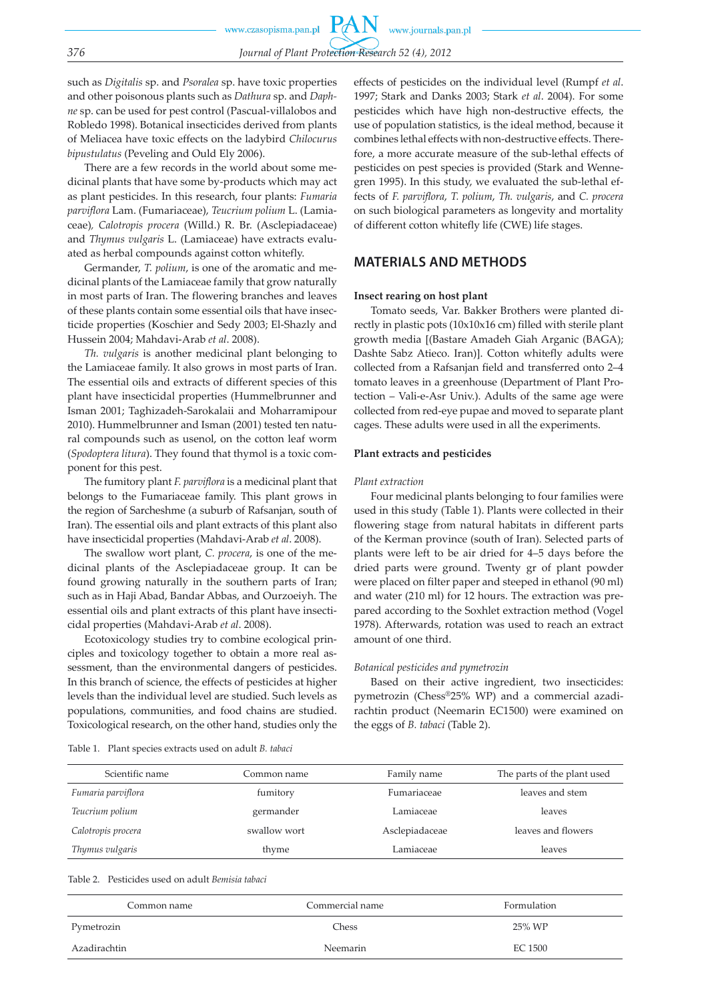such as *Digitalis* sp. and *Psoralea* sp. have toxic properties and other poisonous plants such as *Dathura* sp. and *Daphne* sp. can be used for pest control (Pascual-villalobos and Robledo 1998). Botanical insecticides derived from plants of Meliacea have toxic effects on the ladybird *Chilocurus bipustulatus* (Peveling and Ould Ely 2006).

There are a few records in the world about some medicinal plants that have some by-products which may act as plant pesticides. In this research, four plants: *Fumaria parviflora* Lam. (Fumariaceae), *Teucrium polium* L. (Lamiaceae)*, Calotropis procera* (Willd.) R. Br. (Asclepiadaceae) and *Thymus vulgaris* L. (Lamiaceae) have extracts evaluated as herbal compounds against cotton whitefly.

Germander, *T. polium*, is one of the aromatic and medicinal plants of the Lamiaceae family that grow naturally in most parts of Iran. The flowering branches and leaves of these plants contain some essential oils that have insecticide properties (Koschier and Sedy 2003; El-Shazly and Hussein 2004; Mahdavi-Arab *et al*. 2008).

*Th. vulgaris* is another medicinal plant belonging to the Lamiaceae family. It also grows in most parts of Iran. The essential oils and extracts of different species of this plant have insecticidal properties (Hummelbrunner and Isman 2001; Taghizadeh-Sarokalaii and Moharramipour 2010). Hummelbrunner and Isman (2001) tested ten natural compounds such as usenol, on the cotton leaf worm (*Spodoptera litura*). They found that thymol is a toxic component for this pest.

The fumitory plant *F. parviflora* is a medicinal plant that belongs to the Fumariaceae family. This plant grows in the region of Sarcheshme (a suburb of Rafsanjan, south of Iran). The essential oils and plant extracts of this plant also have insecticidal properties (Mahdavi-Arab *et al*. 2008).

The swallow wort plant, *C. procera*, is one of the medicinal plants of the Asclepiadaceae group. It can be found growing naturally in the southern parts of Iran; such as in Haji Abad, Bandar Abbas, and Ourzoeiyh. The essential oils and plant extracts of this plant have insecticidal properties (Mahdavi-Arab *et al*. 2008).

Ecotoxicology studies try to combine ecological principles and toxicology together to obtain a more real assessment, than the environmental dangers of pesticides. In this branch of science, the effects of pesticides at higher levels than the individual level are studied. Such levels as populations, communities, and food chains are studied. Toxicological research, on the other hand, studies only the effects of pesticides on the individual level (Rumpf *et al*. 1997; Stark and Danks 2003; Stark *et al*. 2004). For some pesticides which have high non-destructive effects, the use of population statistics, is the ideal method, because it combines lethal effects with non-destructive effects. Therefore, a more accurate measure of the sub-lethal effects of pesticides on pest species is provided (Stark and Wennegren 1995). In this study, we evaluated the sub-lethal effects of *F. parviflora*, *T. polium*, *Th. vulgaris*, and *C. procera* on such biological parameters as longevity and mortality of different cotton whitefly life (CWE) life stages.

## **MATERIALS AND METHODS**

#### **Insect rearing on host plant**

Tomato seeds, Var. Bakker Brothers were planted directly in plastic pots (10x10x16 cm) filled with sterile plant growth media [(Bastare Amadeh Giah Arganic (BAGA); Dashte Sabz Atieco. Iran)]. Cotton whitefly adults were collected from a Rafsanjan field and transferred onto 2–4 tomato leaves in a greenhouse (Department of Plant Protection – Vali-e-Asr Univ.). Adults of the same age were collected from red-eye pupae and moved to separate plant cages. These adults were used in all the experiments.

#### **Plant extracts and pesticides**

#### *Plant extraction*

Four medicinal plants belonging to four families were used in this study (Table 1). Plants were collected in their flowering stage from natural habitats in different parts of the Kerman province (south of Iran). Selected parts of plants were left to be air dried for 4–5 days before the dried parts were ground. Twenty gr of plant powder were placed on filter paper and steeped in ethanol (90 ml) and water (210 ml) for 12 hours. The extraction was prepared according to the Soxhlet extraction method (Vogel 1978). Afterwards, rotation was used to reach an extract amount of one third.

#### *Botanical pesticides and pymetrozin*

Based on their active ingredient, two insecticides: pymetrozin (Chess®25% WP) and a commercial azadirachtin product (Neemarin EC1500) were examined on the eggs of *B. tabaci* (Table 2).

| Scientific name    | Common name  | Family name    | The parts of the plant used |
|--------------------|--------------|----------------|-----------------------------|
| Fumaria parviflora | fumitory     | Fumariaceae    | leaves and stem             |
| Teucrium polium    | germander    | Lamiaceae      | leaves                      |
| Calotropis procera | swallow wort | Asclepiadaceae | leaves and flowers          |
| Thymus vulgaris    | thyme        | Lamiaceae      | leaves                      |

Table 2. Pesticides used on adult *Bemisia tabaci*

| Common name  | Commercial name | Formulation |
|--------------|-----------------|-------------|
| Pymetrozin   | Chess           | 25% WP      |
| Azadirachtin | Neemarin        | EC 1500     |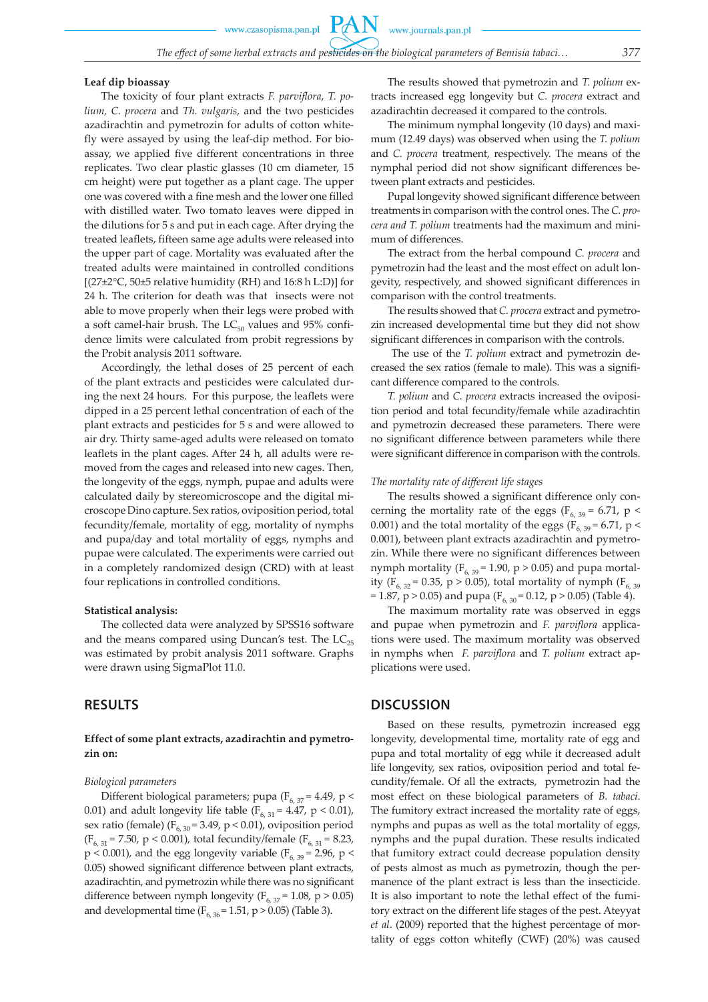www.czasopisma.pan.pl

PAN

#### **Leaf dip bioassay**

The toxicity of four plant extracts *F. parviflora*, *T. polium, C. procera* and *Th. vulgaris*, and the two pesticides azadirachtin and pymetrozin for adults of cotton whitefly were assayed by using the leaf-dip method. For bioassay, we applied five different concentrations in three replicates. Two clear plastic glasses (10 cm diameter, 15 cm height) were put together as a plant cage. The upper one was covered with a fine mesh and the lower one filled with distilled water. Two tomato leaves were dipped in the dilutions for 5 s and put in each cage. After drying the treated leaflets, fifteen same age adults were released into the upper part of cage. Mortality was evaluated after the treated adults were maintained in controlled conditions  $[(27\pm2\degree C, 50\pm5 \text{ relative humidity (RH) and } 16:8 \text{ h L:D)}]$  for 24 h. The criterion for death was that insects were not able to move properly when their legs were probed with a soft camel-hair brush. The  $LC_{50}$  values and 95% confidence limits were calculated from probit regressions by the Probit analysis 2011 software.

Accordingly, the lethal doses of 25 percent of each of the plant extracts and pesticides were calculated during the next 24 hours. For this purpose, the leaflets were dipped in a 25 percent lethal concentration of each of the plant extracts and pesticides for 5 s and were allowed to air dry. Thirty same-aged adults were released on tomato leaflets in the plant cages. After 24 h, all adults were removed from the cages and released into new cages. Then, the longevity of the eggs, nymph, pupae and adults were calculated daily by stereomicroscope and the digital microscope Dino capture. Sex ratios, oviposition period, total fecundity/female, mortality of egg, mortality of nymphs and pupa/day and total mortality of eggs, nymphs and pupae were calculated. The experiments were carried out in a completely randomized design (CRD) with at least four replications in controlled conditions.

#### **Statistical analysis:**

The collected data were analyzed by SPSS16 software and the means compared using Duncan's test. The  $LC_{25}$ was estimated by probit analysis 2011 software. Graphs were drawn using SigmaPlot 11.0.

## **RESULTS**

### **Effect of some plant extracts, azadirachtin and pymetrozin on:**

#### *Biological parameters*

Different biological parameters; pupa ( $F_{6, 37}$  = 4.49, p < 0.01) and adult longevity life table ( $F_{6, 31} = 4.47$ , p < 0.01), sex ratio (female) ( $F_{6, 30}$  = 3.49, p < 0.01), oviposition period (F<sub>6, 31</sub> = 7.50, p < 0.001), total fecundity/female (F<sub>6, 31</sub> = 8.23,  $p < 0.001$ ), and the egg longevity variable ( $F<sub>6, 39</sub> = 2.96$ , p < 0.05) showed significant difference between plant extracts, azadirachtin, and pymetrozin while there was no significant difference between nymph longevity ( $F_{6, 37}$  = 1.08, p > 0.05) and developmental time ( $F_{6, 36}$  = 1.51, p > 0.05) (Table 3).

The results showed that pymetrozin and *T. polium* extracts increased egg longevity but *C. procera* extract and azadirachtin decreased it compared to the controls.

The minimum nymphal longevity (10 days) and maximum (12.49 days) was observed when using the *T. polium*  and *C. procera* treatment, respectively. The means of the nymphal period did not show significant differences between plant extracts and pesticides.

Pupal longevity showed significant difference between treatments in comparison with the control ones. The *C. procera and T. polium* treatments had the maximum and minimum of differences.

The extract from the herbal compound *C. procera* and pymetrozin had the least and the most effect on adult longevity, respectively, and showed significant differences in comparison with the control treatments.

The results showed that *C. procera* extract and pymetrozin increased developmental time but they did not show significant differences in comparison with the controls.

 The use of the *T. polium* extract and pymetrozin decreased the sex ratios (female to male). This was a significant difference compared to the controls.

*T. polium* and *C. procera* extracts increased the oviposition period and total fecundity/female while azadirachtin and pymetrozin decreased these parameters. There were no significant difference between parameters while there were significant difference in comparison with the controls.

#### *The mortality rate of different life stages*

The results showed a significant difference only concerning the mortality rate of the eggs ( $F_{6, 39}$  = 6.71, p < 0.001) and the total mortality of the eggs ( $\overline{F}_{6, 39}$  = 6.71, p < 0.001), between plant extracts azadirachtin and pymetrozin. While there were no significant differences between nymph mortality ( $F_{6, 39}$  = 1.90, p > 0.05) and pupa mortality ( $F_{6, 32}$  = 0.35, p > 0.05), total mortality of nymph ( $F_{6, 39}$ ) = 1.87, p > 0.05) and pupa ( $F_{6, 30}$  = 0.12, p > 0.05) (Table 4).

The maximum mortality rate was observed in eggs and pupae when pymetrozin and *F. parviflora* applications were used. The maximum mortality was observed in nymphs when *F. parviflora* and *T. polium* extract applications were used.

## **DISCUSSION**

Based on these results, pymetrozin increased egg longevity, developmental time, mortality rate of egg and pupa and total mortality of egg while it decreased adult life longevity, sex ratios, oviposition period and total fecundity/female. Of all the extracts, pymetrozin had the most effect on these biological parameters of *B. tabaci*. The fumitory extract increased the mortality rate of eggs, nymphs and pupas as well as the total mortality of eggs, nymphs and the pupal duration. These results indicated that fumitory extract could decrease population density of pests almost as much as pymetrozin, though the permanence of the plant extract is less than the insecticide. It is also important to note the lethal effect of the fumitory extract on the different life stages of the pest. Ateyyat *et al*. (2009) reported that the highest percentage of mortality of eggs cotton whitefly (CWF) (20%) was caused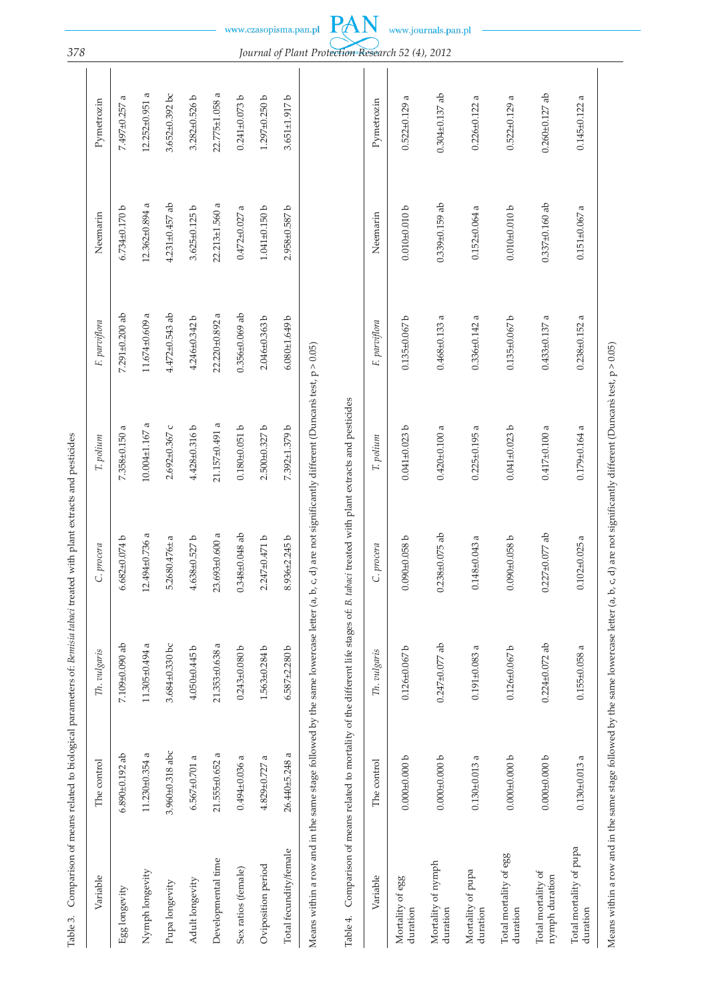| Table 3.                             | Comparison of means related to biological parameters of: Bemisia tabaci treated with plant extracts and pesticides |                      |                                                   |                      |                      |                        |                      |
|--------------------------------------|--------------------------------------------------------------------------------------------------------------------|----------------------|---------------------------------------------------|----------------------|----------------------|------------------------|----------------------|
| Variable                             | The control                                                                                                        | Th. vulgaris         | C. procera                                        | T. polium            | E parviflora         | Neemarin               | Pymetrozin           |
| Egg longevity                        | $6.890 \pm 0.192$ ab                                                                                               | 7.109±0.090 ab       | $6.682 \pm 0.074$ b                               | 7.358±0.150 a        | $7.291 \pm 0.200$ ab | 6.734±0.170b           | a<br>7.497±0.257     |
| Nymph longevity                      | $11.230 + 0.354$ a                                                                                                 | 11.305±0.494 a       | $12.494 \pm 0.736$ a                              | $10.004 \pm 1.167$ a | a<br>11.674±0.609    | π<br>12.362±0.894      | 12.252±0.951 a       |
| Pupa longevity                       | 3.960±0.318 abc                                                                                                    | 3.684±0.330 bc       | $5.2680.476 \pm a$                                | 2.692±0.367 с        | $4.472 \pm 0.543$ ab | $4.231 \pm 0.457$ ab   | 3.652±0.392 bc       |
| Adult longevity                      | $6.567 \pm 0.701$ a                                                                                                | 4.050±0.445b         | $4.638 + 0.527 b$                                 | 4.428±0.316b         | $4.246 \pm 0.342$ b  | $3.625 + 0.125 b$      | $3.282 \pm 0.526$ b  |
| Developmental time                   | 21.555±0.652 a                                                                                                     | 21.353±0.638 a       | 23.693±0.600 a                                    | 21.157±0.491 a       | a<br>22.220±0.892    | 22.213±1.560 a         | 22.775±1.058 a       |
| Sex ratios (female)                  | $0.494 + 0.036$ a                                                                                                  | $0.243 \pm 0.080$ b  | $0.348 + 0.048$ ab                                | $0.180 + 0.051 b$    | $0.356 \pm 0.069$ ab | ß<br>$0.472 \pm 0.027$ | $0.241 \pm 0.073$ b  |
| Oviposition period                   | 4.829±0.727                                                                                                        | $1.563 \pm 0.284$ b  | $2.247 + 0.471$ b                                 | $2.500 + 0.327$ b    | $2.046 \pm 0.363$ b  | $1.041 + 0.150 b$      | $1.297 + 0.250$ b    |
| Total fecundity/female               | 26.440±5.248 a                                                                                                     | $6.587 + 2.280 b$    | $8.936 + 2.245 b$                                 | 7.392±1.379 b        | $6.080 \pm 1.649 b$  | 2.958±0.587b           | 3.651±1.917b         |
| Table 4.                             | Comparison of means related to mortality of the different life stages of: B.                                       |                      | tabaci treated with plant extracts and pesticides |                      |                      |                        |                      |
| Variable                             | The control                                                                                                        | Th. vulgaris         | C. procera                                        | T. polium            | E. parviflora        | Neemarin               | Pymetrozin           |
| Mortality of egg<br>duration         | $0.000 + 0.000 b$                                                                                                  | $0.126 + 0.067$ b    | $0.090 + 0.058$ b                                 | $0.041 + 0.023$ b    | $0.135 \pm 0.067$ b  | $0.010 + 0.010 b$      | $0.522 \pm 0.129$ a  |
| Mortality of nymph<br>duration       | $0.000 + 0.000 b$                                                                                                  | $0.247 \pm 0.077$ ab | $0.238 + 0.075$ ab                                | $0.420 + 0.100$ a    | $0.468 + 0.133$ a    | $0.339 \pm 0.159$ ab   | $0.304 \pm 0.137$ ab |
| Mortality of pupa<br>duration        | $0.130 + 0.013$ a                                                                                                  | $0.191 + 0.083$ a    | $0.148 + 0.043$ a                                 | $0.225 \pm 0.195$ a  | $0.336 + 0.142$ a    | $0.152 \pm 0.064$ a    | $0.226 + 0.122$ a    |
| Total mortality of egg<br>duration   | $0.000 + 0.000 b$                                                                                                  | $0.126 \pm 0.067$ b  | $0.090 + 0.058$ b                                 | $0.041 + 0.023$ b    | $0.135 \pm 0.067$ b  | $0.010 + 0.010 b$      | $0.522 \pm 0.129$ a  |
| Total mortality of<br>nymph duration | $0.000 + 0.000 b$                                                                                                  | $0.224 \pm 0.072$ ab | $0.227 \pm 0.077$ ab                              | $0.417 \pm 0.100$ a  | $0.433 + 0.137$      | $0.337 \pm 0.160$ ab   | $0.260 \pm 0.127$ ab |
| Total mortality of pupa<br>duration  | $0.130 + 0.013$ a                                                                                                  | $0.155 \pm 0.058$ a  | $0.102 + 0.025$ a                                 | $0.179 \pm 0.164$ a  | $0.238 + 0.152$ a    | $0.151 \pm 0.067$ a    | $0.145 \pm 0.122$ a  |

Means within a row and in the same stage followed by the same lowercase letter (a, b, c, d) are not significantly different (Duncans test,  $p > 0.05$ ) Means within a row and in the same stage followed by the same lowercase letter  $(a, b, c, d)$  are not significantly different (Duncans test, p > 0.05)

*378 Journal of Plant Protection Research 52 (4), 2012*

www.journals.pan.pl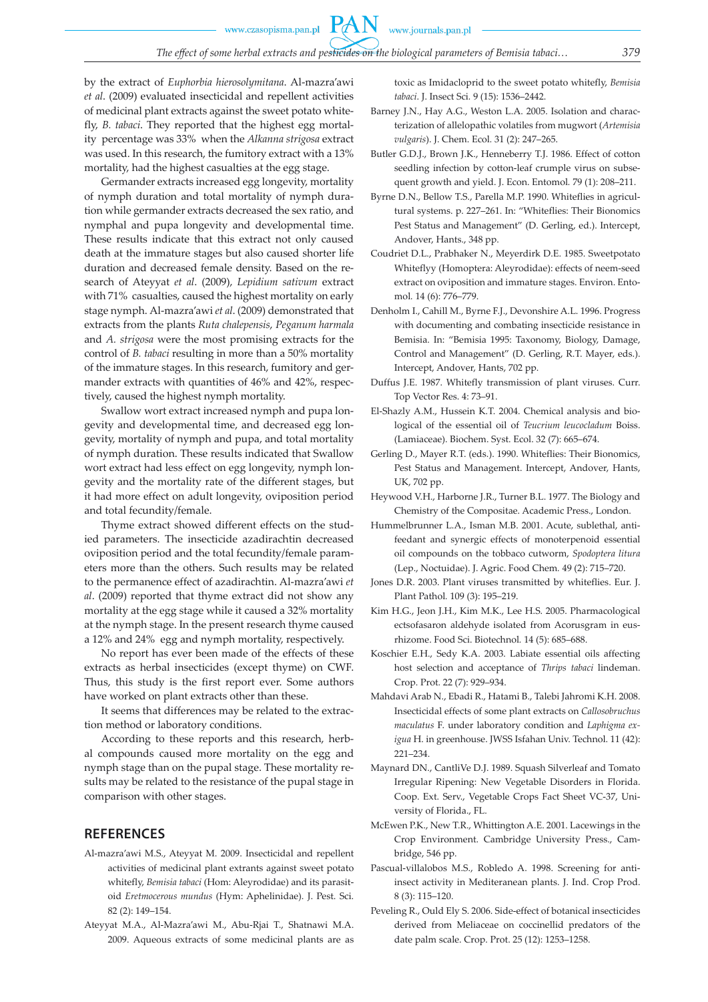**PAN** 

by the extract of *Euphorbia hierosolymitana*. Al-mazra'awi *et al*. (2009) evaluated insecticidal and repellent activities of medicinal plant extracts against the sweet potato whitefly, *B. tabaci*. They reported that the highest egg mortality percentage was 33% when the *Alkanna strigosa* extract was used. In this research, the fumitory extract with a 13% mortality, had the highest casualties at the egg stage.

Germander extracts increased egg longevity, mortality of nymph duration and total mortality of nymph duration while germander extracts decreased the sex ratio, and nymphal and pupa longevity and developmental time. These results indicate that this extract not only caused death at the immature stages but also caused shorter life duration and decreased female density. Based on the research of Ateyyat *et al*. (2009), *Lepidium sativum* extract with 71% casualties, caused the highest mortality on early stage nymph. Al-mazra'awi *et al*. (2009) demonstrated that extracts from the plants *Ruta chalepensis*, *Peganum harmala* and *A. strigosa* were the most promising extracts for the control of *B. tabaci* resulting in more than a 50% mortality of the immature stages. In this research, fumitory and germander extracts with quantities of 46% and 42%, respectively, caused the highest nymph mortality.

Swallow wort extract increased nymph and pupa longevity and developmental time, and decreased egg longevity, mortality of nymph and pupa, and total mortality of nymph duration. These results indicated that Swallow wort extract had less effect on egg longevity, nymph longevity and the mortality rate of the different stages, but it had more effect on adult longevity, oviposition period and total fecundity/female.

Thyme extract showed different effects on the studied parameters. The insecticide azadirachtin decreased oviposition period and the total fecundity/female parameters more than the others. Such results may be related to the permanence effect of azadirachtin. Al-mazra'awi *et al*. (2009) reported that thyme extract did not show any mortality at the egg stage while it caused a 32% mortality at the nymph stage. In the present research thyme caused a 12% and 24% egg and nymph mortality, respectively.

No report has ever been made of the effects of these extracts as herbal insecticides (except thyme) on CWF. Thus, this study is the first report ever. Some authors have worked on plant extracts other than these.

It seems that differences may be related to the extraction method or laboratory conditions.

According to these reports and this research, herbal compounds caused more mortality on the egg and nymph stage than on the pupal stage. These mortality results may be related to the resistance of the pupal stage in comparison with other stages.

## **REFERENCES**

- Al-mazra'awi M.S., Ateyyat M. 2009. Insecticidal and repellent activities of medicinal plant extrants against sweet potato whitefly, *Bemisia tabaci* (Hom: Aleyrodidae) and its parasitoid *Eretmocerous mundus* (Hym: Aphelinidae). J. Pest. Sci. 82 (2): 149–154.
- Ateyyat M.A., Al-Mazra'awi M., Abu-Rjai T., Shatnawi M.A. 2009. Aqueous extracts of some medicinal plants are as

toxic as Imidacloprid to the sweet potato whitefly, *Bemisia tabaci*. J. Insect Sci*.* 9 (15): 1536–2442.

- Barney J.N., Hay A.G., Weston L.A. 2005. Isolation and characterization of allelopathic volatiles from mugwort (*Artemisia vulgaris*). J. Chem. Ecol*.* 31 (2): 247–265.
- Butler G.D.J., Brown J.K., Henneberry T.J. 1986. Effect of cotton seedling infection by cotton-leaf crumple virus on subsequent growth and yield. J. Econ. Entomol*.* 79 (1): 208–211.
- Byrne D.N., Bellow T.S., Parella M.P. 1990. Whiteflies in agricultural systems. p. 227–261. In: "Whiteflies: Their Bionomics Pest Status and Management" (D. Gerling, ed.). Intercept, Andover, Hants., 348 pp.
- Coudriet D.L., Prabhaker N., Meyerdirk D.E. 1985. Sweetpotato Whiteflyy (Homoptera: Aleyrodidae): effects of neem-seed extract on oviposition and immature stages. Environ. Entomol*.* 14 (6): 776–779.
- Denholm I., Cahill M., Byrne F.J., Devonshire A.L. 1996. Progress with documenting and combating insecticide resistance in Bemisia. In: "Bemisia 1995: Taxonomy, Biology, Damage, Control and Management" (D. Gerling, R.T. Mayer, eds.). Intercept, Andover, Hants, 702 pp.
- Duffus J.E. 1987. Whitefly transmission of plant viruses. Curr. Top Vector Res. 4: 73–91.
- El-Shazly A.M., Hussein K.T. 2004. Chemical analysis and biological of the essential oil of *Teucrium leucocladum* Boiss. (Lamiaceae). Biochem. Syst. Ecol. 32 (7): 665–674.
- Gerling D., Mayer R.T. (eds.). 1990. Whiteflies: Their Bionomics, Pest Status and Management. Intercept, Andover, Hants, UK, 702 pp.
- Heywood V.H., Harborne J.R., Turner B.L. 1977. The Biology and Chemistry of the Compositae. Academic Press., London.
- Hummelbrunner L.A., Isman M.B. 2001. Acute, sublethal, antifeedant and synergic effects of monoterpenoid essential oil compounds on the tobbaco cutworm, *Spodoptera litura* (Lep., Noctuidae). J. Agric. Food Chem*.* 49 (2): 715–720.
- Jones D.R. 2003. Plant viruses transmitted by whiteflies. Eur. J. Plant Pathol*.* 109 (3): 195–219.
- Kim H.G., Jeon J.H., Kim M.K., Lee H.S. 2005. Pharmacological ectsofasaron aldehyde isolated from Acorusgram in eusrhizome. Food Sci. Biotechnol*.* 14 (5): 685–688.
- Koschier E.H., Sedy K.A. 2003. Labiate essential oils affecting host selection and acceptance of *Thrips tabaci* lindeman. Crop. Prot*.* 22 (7): 929–934.
- Mahdavi Arab N., Ebadi R., Hatami B., Talebi Jahromi K.H. 2008. Insecticidal effects of some plant extracts on *Callosobruchus maculatus* F. under laboratory condition and *Laphigma exigua* H. in greenhouse. JWSS Isfahan Univ. Technol. 11 (42): 221–234.
- Maynard DN., CantliVe D.J. 1989. Squash Silverleaf and Tomato Irregular Ripening: New Vegetable Disorders in Florida. Coop. Ext. Serv., Vegetable Crops Fact Sheet VC-37, University of Florida., FL.
- McEwen P.K., New T.R., Whittington A.E. 2001. Lacewings in the Crop Environment. Cambridge University Press., Cambridge, 546 pp.
- Pascual-villalobos M.S., Robledo A. 1998. Screening for antiinsect activity in Mediteranean plants. J. Ind. Crop Prod. 8 (3): 115–120.
- Peveling R., Ould Ely S. 2006. Side-effect of botanical insecticides derived from Meliaceae on coccinellid predators of the date palm scale. Crop. Prot. 25 (12): 1253–1258.